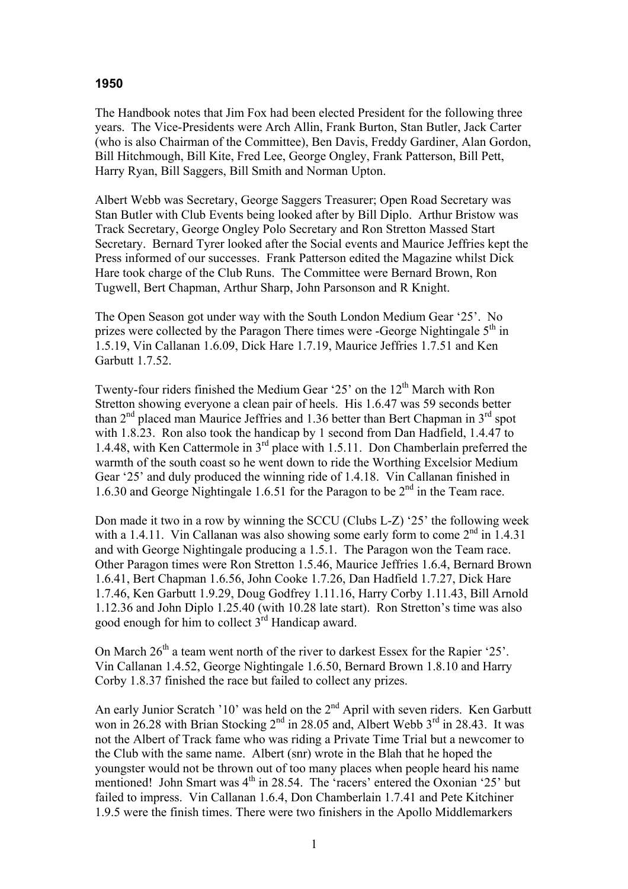## **1950**

The Handbook notes that Jim Fox had been elected President for the following three years. The Vice-Presidents were Arch Allin, Frank Burton, Stan Butler, Jack Carter (who is also Chairman of the Committee), Ben Davis, Freddy Gardiner, Alan Gordon, Bill Hitchmough, Bill Kite, Fred Lee, George Ongley, Frank Patterson, Bill Pett, Harry Ryan, Bill Saggers, Bill Smith and Norman Upton.

Albert Webb was Secretary, George Saggers Treasurer; Open Road Secretary was Stan Butler with Club Events being looked after by Bill Diplo. Arthur Bristow was Track Secretary, George Ongley Polo Secretary and Ron Stretton Massed Start Secretary. Bernard Tyrer looked after the Social events and Maurice Jeffries kept the Press informed of our successes. Frank Patterson edited the Magazine whilst Dick Hare took charge of the Club Runs. The Committee were Bernard Brown, Ron Tugwell, Bert Chapman, Arthur Sharp, John Parsonson and R Knight.

The Open Season got under way with the South London Medium Gear '25'. No prizes were collected by the Paragon There times were -George Nightingale  $5<sup>th</sup>$  in 1.5.19, Vin Callanan 1.6.09, Dick Hare 1.7.19, Maurice Jeffries 1.7.51 and Ken Garbutt 1.7.52.

Twenty-four riders finished the Medium Gear '25' on the  $12<sup>th</sup>$  March with Ron Stretton showing everyone a clean pair of heels. His 1.6.47 was 59 seconds better than  $2<sup>nd</sup>$  placed man Maurice Jeffries and 1.36 better than Bert Chapman in  $3<sup>rd</sup>$  spot with 1.8.23. Ron also took the handicap by 1 second from Dan Hadfield, 1.4.47 to 1.4.48, with Ken Cattermole in 3rd place with 1.5.11. Don Chamberlain preferred the warmth of the south coast so he went down to ride the Worthing Excelsior Medium Gear '25' and duly produced the winning ride of 1.4.18. Vin Callanan finished in 1.6.30 and George Nightingale 1.6.51 for the Paragon to be  $2<sup>nd</sup>$  in the Team race.

Don made it two in a row by winning the SCCU (Clubs L-Z) '25' the following week with a 1.4.11. Vin Callanan was also showing some early form to come  $2<sup>nd</sup>$  in 1.4.31 and with George Nightingale producing a 1.5.1. The Paragon won the Team race. Other Paragon times were Ron Stretton 1.5.46, Maurice Jeffries 1.6.4, Bernard Brown 1.6.41, Bert Chapman 1.6.56, John Cooke 1.7.26, Dan Hadfield 1.7.27, Dick Hare 1.7.46, Ken Garbutt 1.9.29, Doug Godfrey 1.11.16, Harry Corby 1.11.43, Bill Arnold 1.12.36 and John Diplo 1.25.40 (with 10.28 late start). Ron Stretton's time was also good enough for him to collect  $3<sup>rd</sup>$  Handicap award.

On March  $26<sup>th</sup>$  a team went north of the river to darkest Essex for the Rapier '25'. Vin Callanan 1.4.52, George Nightingale 1.6.50, Bernard Brown 1.8.10 and Harry Corby 1.8.37 finished the race but failed to collect any prizes.

An early Junior Scratch '10' was held on the 2<sup>nd</sup> April with seven riders. Ken Garbutt won in  $26.28$  with Brian Stocking  $2^{nd}$  in 28.05 and, Albert Webb  $3^{rd}$  in 28.43. It was not the Albert of Track fame who was riding a Private Time Trial but a newcomer to the Club with the same name. Albert (snr) wrote in the Blah that he hoped the youngster would not be thrown out of too many places when people heard his name mentioned! John Smart was  $4<sup>th</sup>$  in 28.54. The 'racers' entered the Oxonian '25' but failed to impress. Vin Callanan 1.6.4, Don Chamberlain 1.7.41 and Pete Kitchiner 1.9.5 were the finish times. There were two finishers in the Apollo Middlemarkers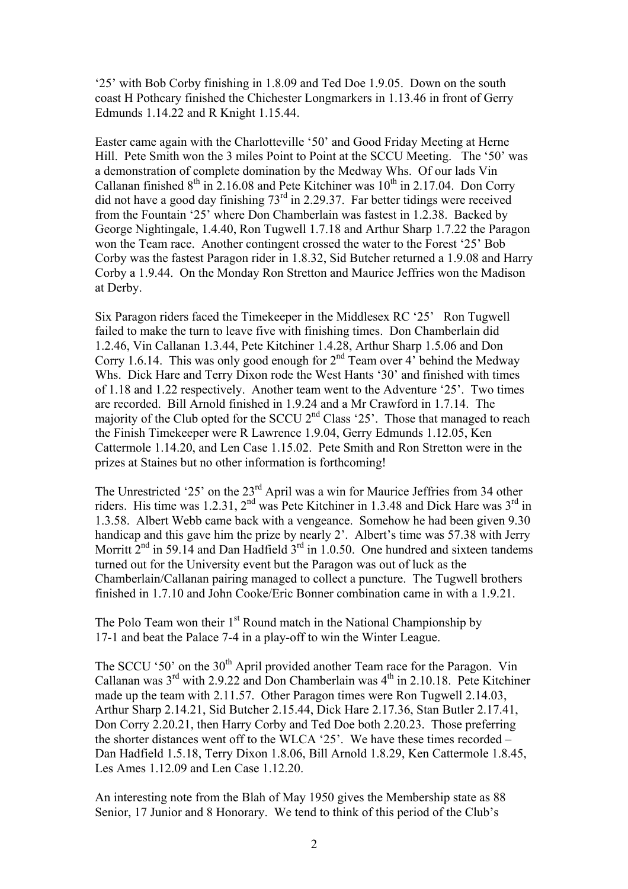'25' with Bob Corby finishing in 1.8.09 and Ted Doe 1.9.05. Down on the south coast H Pothcary finished the Chichester Longmarkers in 1.13.46 in front of Gerry Edmunds 1.14.22 and R Knight 1.15.44.

Easter came again with the Charlotteville '50' and Good Friday Meeting at Herne Hill. Pete Smith won the 3 miles Point to Point at the SCCU Meeting. The '50' was a demonstration of complete domination by the Medway Whs. Of our lads Vin Callanan finished  $8<sup>th</sup>$  in 2.16.08 and Pete Kitchiner was  $10<sup>th</sup>$  in 2.17.04. Don Corry did not have a good day finishing  $73<sup>rd</sup>$  in 2.29.37. Far better tidings were received from the Fountain '25' where Don Chamberlain was fastest in 1.2.38. Backed by George Nightingale, 1.4.40, Ron Tugwell 1.7.18 and Arthur Sharp 1.7.22 the Paragon won the Team race. Another contingent crossed the water to the Forest '25' Bob Corby was the fastest Paragon rider in 1.8.32, Sid Butcher returned a 1.9.08 and Harry Corby a 1.9.44. On the Monday Ron Stretton and Maurice Jeffries won the Madison at Derby.

Six Paragon riders faced the Timekeeper in the Middlesex RC '25' Ron Tugwell failed to make the turn to leave five with finishing times. Don Chamberlain did 1.2.46, Vin Callanan 1.3.44, Pete Kitchiner 1.4.28, Arthur Sharp 1.5.06 and Don Corry 1.6.14. This was only good enough for  $2<sup>nd</sup>$  Team over 4' behind the Medway Whs. Dick Hare and Terry Dixon rode the West Hants '30' and finished with times of 1.18 and 1.22 respectively. Another team went to the Adventure '25'. Two times are recorded. Bill Arnold finished in 1.9.24 and a Mr Crawford in 1.7.14. The majority of the Club opted for the SCCU  $2<sup>nd</sup>$  Class '25'. Those that managed to reach the Finish Timekeeper were R Lawrence 1.9.04, Gerry Edmunds 1.12.05, Ken Cattermole 1.14.20, and Len Case 1.15.02. Pete Smith and Ron Stretton were in the prizes at Staines but no other information is forthcoming!

The Unrestricted '25' on the  $23<sup>rd</sup>$  April was a win for Maurice Jeffries from 34 other riders. His time was 1.2.31,  $2^{nd}$  was Pete Kitchiner in 1.3.48 and Dick Hare was  $3^{rd}$  in 1.3.58. Albert Webb came back with a vengeance. Somehow he had been given 9.30 handicap and this gave him the prize by nearly 2'. Albert's time was 57.38 with Jerry Morritt  $2<sup>nd</sup>$  in 59.14 and Dan Hadfield  $3<sup>rd</sup>$  in 1.0.50. One hundred and sixteen tandems turned out for the University event but the Paragon was out of luck as the Chamberlain/Callanan pairing managed to collect a puncture. The Tugwell brothers finished in 1.7.10 and John Cooke/Eric Bonner combination came in with a 1.9.21.

The Polo Team won their  $1<sup>st</sup>$  Round match in the National Championship by 17-1 and beat the Palace 7-4 in a play-off to win the Winter League.

The SCCU '50' on the  $30<sup>th</sup>$  April provided another Team race for the Paragon. Vin Callanan was  $3<sup>rd</sup>$  with 2.9.22 and Don Chamberlain was  $4<sup>th</sup>$  in 2.10.18. Pete Kitchiner made up the team with 2.11.57. Other Paragon times were Ron Tugwell 2.14.03, Arthur Sharp 2.14.21, Sid Butcher 2.15.44, Dick Hare 2.17.36, Stan Butler 2.17.41, Don Corry 2.20.21, then Harry Corby and Ted Doe both 2.20.23. Those preferring the shorter distances went off to the WLCA '25'. We have these times recorded – Dan Hadfield 1.5.18, Terry Dixon 1.8.06, Bill Arnold 1.8.29, Ken Cattermole 1.8.45, Les Ames 1.12.09 and Len Case 1.12.20.

An interesting note from the Blah of May 1950 gives the Membership state as 88 Senior, 17 Junior and 8 Honorary. We tend to think of this period of the Club's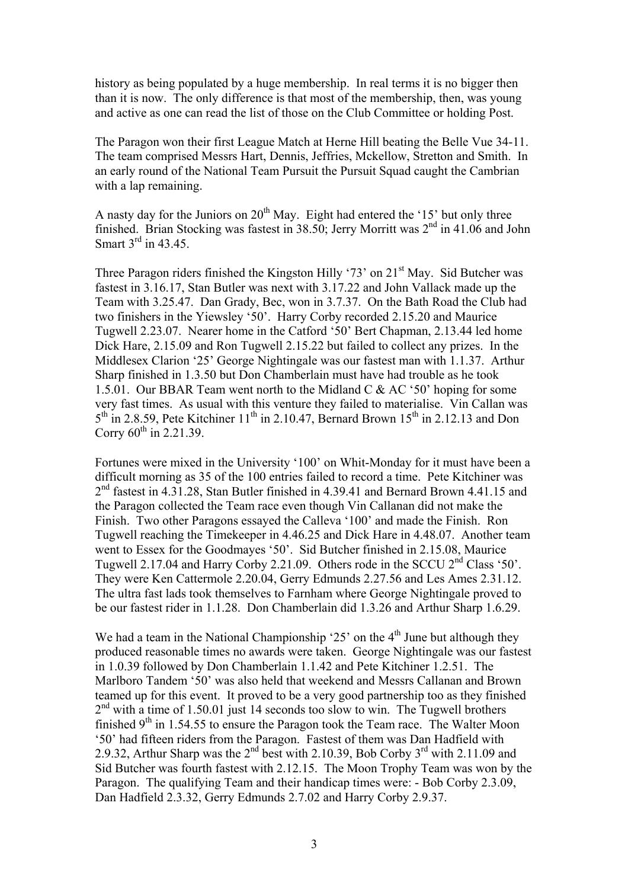history as being populated by a huge membership. In real terms it is no bigger then than it is now. The only difference is that most of the membership, then, was young and active as one can read the list of those on the Club Committee or holding Post.

The Paragon won their first League Match at Herne Hill beating the Belle Vue 34-11. The team comprised Messrs Hart, Dennis, Jeffries, Mckellow, Stretton and Smith. In an early round of the National Team Pursuit the Pursuit Squad caught the Cambrian with a lap remaining.

A nasty day for the Juniors on  $20<sup>th</sup>$  May. Eight had entered the '15' but only three finished. Brian Stocking was fastest in 38.50; Jerry Morritt was 2nd in 41.06 and John Smart 3<sup>rd</sup> in 43.45.

Three Paragon riders finished the Kingston Hilly '73' on 21<sup>st</sup> May. Sid Butcher was fastest in 3.16.17, Stan Butler was next with 3.17.22 and John Vallack made up the Team with 3.25.47. Dan Grady, Bec, won in 3.7.37. On the Bath Road the Club had two finishers in the Yiewsley '50'. Harry Corby recorded 2.15.20 and Maurice Tugwell 2.23.07. Nearer home in the Catford '50' Bert Chapman, 2.13.44 led home Dick Hare, 2.15.09 and Ron Tugwell 2.15.22 but failed to collect any prizes. In the Middlesex Clarion '25' George Nightingale was our fastest man with 1.1.37. Arthur Sharp finished in 1.3.50 but Don Chamberlain must have had trouble as he took 1.5.01. Our BBAR Team went north to the Midland C & AC '50' hoping for some very fast times. As usual with this venture they failed to materialise. Vin Callan was  $5<sup>th</sup>$  in 2.8.59, Pete Kitchiner 11<sup>th</sup> in 2.10.47, Bernard Brown 15<sup>th</sup> in 2.12.13 and Don Corry  $60^{th}$  in 2.21.39.

Fortunes were mixed in the University '100' on Whit-Monday for it must have been a difficult morning as 35 of the 100 entries failed to record a time. Pete Kitchiner was  $2<sup>nd</sup>$  fastest in 4.31.28, Stan Butler finished in 4.39.41 and Bernard Brown 4.41.15 and the Paragon collected the Team race even though Vin Callanan did not make the Finish. Two other Paragons essayed the Calleva '100' and made the Finish. Ron Tugwell reaching the Timekeeper in 4.46.25 and Dick Hare in 4.48.07. Another team went to Essex for the Goodmayes '50'. Sid Butcher finished in 2.15.08, Maurice Tugwell 2.17.04 and Harry Corby 2.21.09. Others rode in the SCCU  $2<sup>nd</sup>$  Class '50'. They were Ken Cattermole 2.20.04, Gerry Edmunds 2.27.56 and Les Ames 2.31.12. The ultra fast lads took themselves to Farnham where George Nightingale proved to be our fastest rider in 1.1.28. Don Chamberlain did 1.3.26 and Arthur Sharp 1.6.29.

We had a team in the National Championship '25' on the  $4<sup>th</sup>$  June but although they produced reasonable times no awards were taken. George Nightingale was our fastest in 1.0.39 followed by Don Chamberlain 1.1.42 and Pete Kitchiner 1.2.51. The Marlboro Tandem '50' was also held that weekend and Messrs Callanan and Brown teamed up for this event. It proved to be a very good partnership too as they finished  $2<sup>nd</sup>$  with a time of 1.50.01 just 14 seconds too slow to win. The Tugwell brothers finished  $9<sup>th</sup>$  in 1.54.55 to ensure the Paragon took the Team race. The Walter Moon '50' had fifteen riders from the Paragon. Fastest of them was Dan Hadfield with 2.9.32, Arthur Sharp was the  $2^{nd}$  best with 2.10.39, Bob Corby  $3^{rd}$  with 2.11.09 and Sid Butcher was fourth fastest with 2.12.15. The Moon Trophy Team was won by the Paragon. The qualifying Team and their handicap times were: - Bob Corby 2.3.09, Dan Hadfield 2.3.32, Gerry Edmunds 2.7.02 and Harry Corby 2.9.37.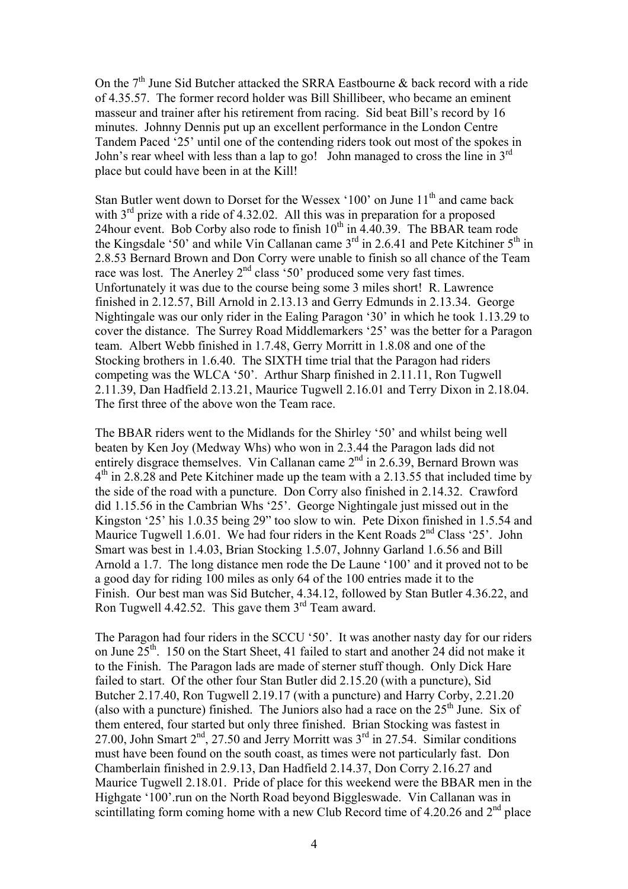On the  $7<sup>th</sup>$  June Sid Butcher attacked the SRRA Eastbourne & back record with a ride of 4.35.57. The former record holder was Bill Shillibeer, who became an eminent masseur and trainer after his retirement from racing. Sid beat Bill's record by 16 minutes. Johnny Dennis put up an excellent performance in the London Centre Tandem Paced '25' until one of the contending riders took out most of the spokes in John's rear wheel with less than a lap to go! John managed to cross the line in 3<sup>rd</sup> place but could have been in at the Kill!

Stan Butler went down to Dorset for the Wessex '100' on June  $11<sup>th</sup>$  and came back with  $3<sup>rd</sup>$  prize with a ride of 4.32.02. All this was in preparation for a proposed 24 hour event. Bob Corby also rode to finish  $10^{th}$  in 4.40.39. The BBAR team rode the Kingsdale '50' and while Vin Callanan came  $3<sup>rd</sup>$  in 2.6.41 and Pete Kitchiner  $5<sup>th</sup>$  in 2.8.53 Bernard Brown and Don Corry were unable to finish so all chance of the Team race was lost. The Anerley  $2<sup>nd</sup>$  class '50' produced some very fast times. Unfortunately it was due to the course being some 3 miles short! R. Lawrence finished in 2.12.57, Bill Arnold in 2.13.13 and Gerry Edmunds in 2.13.34. George Nightingale was our only rider in the Ealing Paragon '30' in which he took 1.13.29 to cover the distance. The Surrey Road Middlemarkers '25' was the better for a Paragon team. Albert Webb finished in 1.7.48, Gerry Morritt in 1.8.08 and one of the Stocking brothers in 1.6.40. The SIXTH time trial that the Paragon had riders competing was the WLCA '50'. Arthur Sharp finished in 2.11.11, Ron Tugwell 2.11.39, Dan Hadfield 2.13.21, Maurice Tugwell 2.16.01 and Terry Dixon in 2.18.04. The first three of the above won the Team race.

The BBAR riders went to the Midlands for the Shirley '50' and whilst being well beaten by Ken Joy (Medway Whs) who won in 2.3.44 the Paragon lads did not entirely disgrace themselves. Vin Callanan came  $2<sup>nd</sup>$  in 2.6.39, Bernard Brown was  $4<sup>th</sup>$  in 2.8.28 and Pete Kitchiner made up the team with a 2.13.55 that included time by the side of the road with a puncture. Don Corry also finished in 2.14.32. Crawford did 1.15.56 in the Cambrian Whs '25'. George Nightingale just missed out in the Kingston '25' his 1.0.35 being 29" too slow to win. Pete Dixon finished in 1.5.54 and Maurice Tugwell 1.6.01. We had four riders in the Kent Roads  $2<sup>nd</sup> Class '25'$ . John Smart was best in 1.4.03, Brian Stocking 1.5.07, Johnny Garland 1.6.56 and Bill Arnold a 1.7. The long distance men rode the De Laune '100' and it proved not to be a good day for riding 100 miles as only 64 of the 100 entries made it to the Finish. Our best man was Sid Butcher, 4.34.12, followed by Stan Butler 4.36.22, and Ron Tugwell 4.42.52. This gave them  $3<sup>rd</sup>$  Team award.

The Paragon had four riders in the SCCU '50'. It was another nasty day for our riders on June 25<sup>th</sup>. 150 on the Start Sheet, 41 failed to start and another 24 did not make it to the Finish. The Paragon lads are made of sterner stuff though. Only Dick Hare failed to start. Of the other four Stan Butler did 2.15.20 (with a puncture), Sid Butcher 2.17.40, Ron Tugwell 2.19.17 (with a puncture) and Harry Corby, 2.21.20 (also with a puncture) finished. The Juniors also had a race on the  $25<sup>th</sup>$  June. Six of them entered, four started but only three finished. Brian Stocking was fastest in 27.00, John Smart  $2<sup>nd</sup>$ , 27.50 and Jerry Morritt was  $3<sup>rd</sup>$  in 27.54. Similar conditions must have been found on the south coast, as times were not particularly fast. Don Chamberlain finished in 2.9.13, Dan Hadfield 2.14.37, Don Corry 2.16.27 and Maurice Tugwell 2.18.01. Pride of place for this weekend were the BBAR men in the Highgate '100'.run on the North Road beyond Biggleswade. Vin Callanan was in scintillating form coming home with a new Club Record time of  $4.20.26$  and  $2<sup>nd</sup>$  place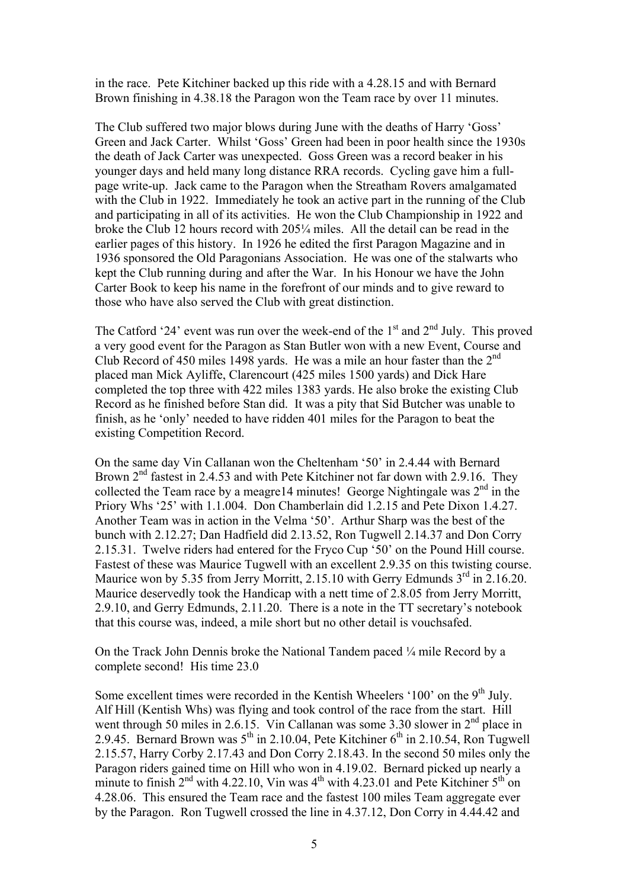in the race. Pete Kitchiner backed up this ride with a 4.28.15 and with Bernard Brown finishing in 4.38.18 the Paragon won the Team race by over 11 minutes.

The Club suffered two major blows during June with the deaths of Harry 'Goss' Green and Jack Carter. Whilst 'Goss' Green had been in poor health since the 1930s the death of Jack Carter was unexpected. Goss Green was a record beaker in his younger days and held many long distance RRA records. Cycling gave him a fullpage write-up. Jack came to the Paragon when the Streatham Rovers amalgamated with the Club in 1922. Immediately he took an active part in the running of the Club and participating in all of its activities. He won the Club Championship in 1922 and broke the Club 12 hours record with 205¼ miles. All the detail can be read in the earlier pages of this history. In 1926 he edited the first Paragon Magazine and in 1936 sponsored the Old Paragonians Association. He was one of the stalwarts who kept the Club running during and after the War. In his Honour we have the John Carter Book to keep his name in the forefront of our minds and to give reward to those who have also served the Club with great distinction.

The Catford '24' event was run over the week-end of the  $1<sup>st</sup>$  and  $2<sup>nd</sup>$  July. This proved a very good event for the Paragon as Stan Butler won with a new Event, Course and Club Record of 450 miles 1498 yards. He was a mile an hour faster than the 2<sup>nd</sup> placed man Mick Ayliffe, Clarencourt (425 miles 1500 yards) and Dick Hare completed the top three with 422 miles 1383 yards. He also broke the existing Club Record as he finished before Stan did. It was a pity that Sid Butcher was unable to finish, as he 'only' needed to have ridden 401 miles for the Paragon to beat the existing Competition Record.

On the same day Vin Callanan won the Cheltenham '50' in 2.4.44 with Bernard Brown 2<sup>nd</sup> fastest in 2.4.53 and with Pete Kitchiner not far down with 2.9.16. They collected the Team race by a meagre14 minutes! George Nightingale was  $2<sup>nd</sup>$  in the Priory Whs '25' with 1.1.004. Don Chamberlain did 1.2.15 and Pete Dixon 1.4.27. Another Team was in action in the Velma '50'. Arthur Sharp was the best of the bunch with 2.12.27; Dan Hadfield did 2.13.52, Ron Tugwell 2.14.37 and Don Corry 2.15.31. Twelve riders had entered for the Fryco Cup '50' on the Pound Hill course. Fastest of these was Maurice Tugwell with an excellent 2.9.35 on this twisting course. Maurice won by 5.35 from Jerry Morritt, 2.15.10 with Gerry Edmunds  $3<sup>rd</sup>$  in 2.16.20. Maurice deservedly took the Handicap with a nett time of 2.8.05 from Jerry Morritt, 2.9.10, and Gerry Edmunds, 2.11.20. There is a note in the TT secretary's notebook that this course was, indeed, a mile short but no other detail is vouchsafed.

On the Track John Dennis broke the National Tandem paced ¼ mile Record by a complete second! His time 23.0

Some excellent times were recorded in the Kentish Wheelers '100' on the  $9<sup>th</sup>$  July. Alf Hill (Kentish Whs) was flying and took control of the race from the start. Hill went through 50 miles in 2.6.15. Vin Callanan was some 3.30 slower in  $2<sup>nd</sup>$  place in 2.9.45. Bernard Brown was  $5<sup>th</sup>$  in 2.10.04, Pete Kitchiner  $6<sup>th</sup>$  in 2.10.54, Ron Tugwell 2.15.57, Harry Corby 2.17.43 and Don Corry 2.18.43. In the second 50 miles only the Paragon riders gained time on Hill who won in 4.19.02. Bernard picked up nearly a minute to finish  $2<sup>nd</sup>$  with 4.22.10, Vin was  $4<sup>th</sup>$  with 4.23.01 and Pete Kitchiner  $5<sup>th</sup>$  on 4.28.06. This ensured the Team race and the fastest 100 miles Team aggregate ever by the Paragon. Ron Tugwell crossed the line in 4.37.12, Don Corry in 4.44.42 and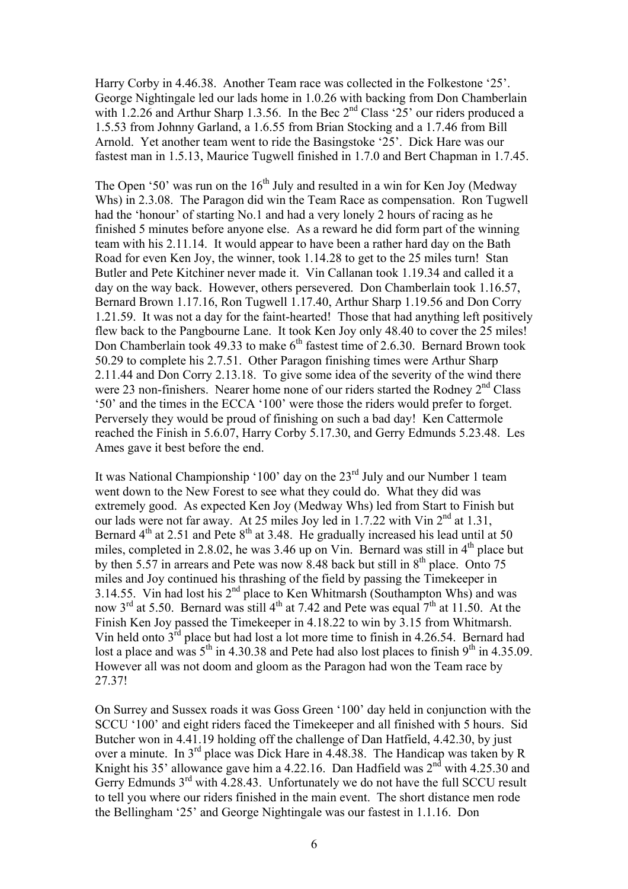Harry Corby in 4.46.38. Another Team race was collected in the Folkestone '25'. George Nightingale led our lads home in 1.0.26 with backing from Don Chamberlain with 1.2.26 and Arthur Sharp 1.3.56. In the Bec  $2^{nd}$  Class '25' our riders produced a 1.5.53 from Johnny Garland, a 1.6.55 from Brian Stocking and a 1.7.46 from Bill Arnold. Yet another team went to ride the Basingstoke '25'. Dick Hare was our fastest man in 1.5.13, Maurice Tugwell finished in 1.7.0 and Bert Chapman in 1.7.45.

The Open '50' was run on the  $16<sup>th</sup>$  July and resulted in a win for Ken Joy (Medway Whs) in 2.3.08. The Paragon did win the Team Race as compensation. Ron Tugwell had the 'honour' of starting No.1 and had a very lonely 2 hours of racing as he finished 5 minutes before anyone else. As a reward he did form part of the winning team with his 2.11.14. It would appear to have been a rather hard day on the Bath Road for even Ken Joy, the winner, took 1.14.28 to get to the 25 miles turn! Stan Butler and Pete Kitchiner never made it. Vin Callanan took 1.19.34 and called it a day on the way back. However, others persevered. Don Chamberlain took 1.16.57, Bernard Brown 1.17.16, Ron Tugwell 1.17.40, Arthur Sharp 1.19.56 and Don Corry 1.21.59. It was not a day for the faint-hearted! Those that had anything left positively flew back to the Pangbourne Lane. It took Ken Joy only 48.40 to cover the 25 miles! Don Chamberlain took 49.33 to make  $6<sup>th</sup>$  fastest time of 2.6.30. Bernard Brown took 50.29 to complete his 2.7.51. Other Paragon finishing times were Arthur Sharp 2.11.44 and Don Corry 2.13.18. To give some idea of the severity of the wind there were 23 non-finishers. Nearer home none of our riders started the Rodney  $2<sup>nd</sup> Class$ '50' and the times in the ECCA '100' were those the riders would prefer to forget. Perversely they would be proud of finishing on such a bad day! Ken Cattermole reached the Finish in 5.6.07, Harry Corby 5.17.30, and Gerry Edmunds 5.23.48. Les Ames gave it best before the end.

It was National Championship '100' day on the 23rd July and our Number 1 team went down to the New Forest to see what they could do. What they did was extremely good. As expected Ken Joy (Medway Whs) led from Start to Finish but our lads were not far away. At 25 miles Joy led in  $1.7.22$  with Vin  $2<sup>nd</sup>$  at  $1.31$ , Bernard  $4<sup>th</sup>$  at 2.51 and Pete  $8<sup>th</sup>$  at 3.48. He gradually increased his lead until at 50 miles, completed in 2.8.02, he was 3.46 up on Vin. Bernard was still in  $4<sup>th</sup>$  place but by then 5.57 in arrears and Pete was now  $8.48$  back but still in  $8<sup>th</sup>$  place. Onto 75 miles and Joy continued his thrashing of the field by passing the Timekeeper in 3.14.55. Vin had lost his  $2<sup>nd</sup>$  place to Ken Whitmarsh (Southampton Whs) and was now  $3<sup>rd</sup>$  at 5.50. Bernard was still 4<sup>th</sup> at 7.42 and Pete was equal  $7<sup>th</sup>$  at 11.50. At the Finish Ken Joy passed the Timekeeper in 4.18.22 to win by 3.15 from Whitmarsh. Vin held onto  $3^{rd}$  place but had lost a lot more time to finish in 4.26.54. Bernard had lost a place and was  $5<sup>th</sup>$  in 4.30.38 and Pete had also lost places to finish  $9<sup>th</sup>$  in 4.35.09. However all was not doom and gloom as the Paragon had won the Team race by 27.37!

On Surrey and Sussex roads it was Goss Green '100' day held in conjunction with the SCCU '100' and eight riders faced the Timekeeper and all finished with 5 hours. Sid Butcher won in 4.41.19 holding off the challenge of Dan Hatfield, 4.42.30, by just over a minute. In 3rd place was Dick Hare in 4.48.38. The Handicap was taken by R Knight his 35' allowance gave him a 4.22.16. Dan Hadfield was  $2<sup>nd</sup>$  with 4.25.30 and Gerry Edmunds  $3<sup>rd</sup>$  with 4.28.43. Unfortunately we do not have the full SCCU result to tell you where our riders finished in the main event. The short distance men rode the Bellingham '25' and George Nightingale was our fastest in 1.1.16. Don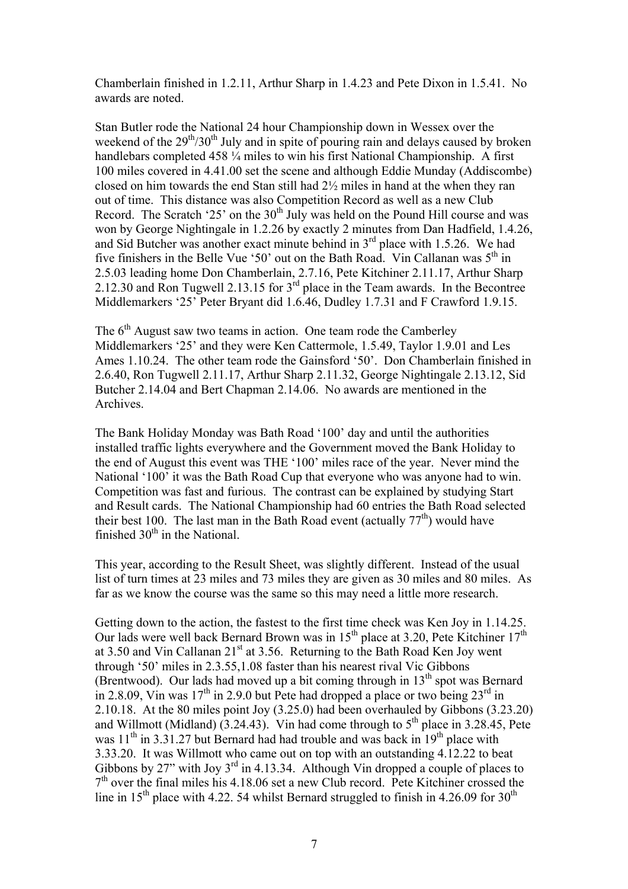Chamberlain finished in 1.2.11, Arthur Sharp in 1.4.23 and Pete Dixon in 1.5.41. No awards are noted.

Stan Butler rode the National 24 hour Championship down in Wessex over the weekend of the  $29<sup>th</sup>/30<sup>th</sup>$  July and in spite of pouring rain and delays caused by broken handlebars completed 458  $\frac{1}{4}$  miles to win his first National Championship. A first 100 miles covered in 4.41.00 set the scene and although Eddie Munday (Addiscombe) closed on him towards the end Stan still had 2½ miles in hand at the when they ran out of time. This distance was also Competition Record as well as a new Club Record. The Scratch '25' on the  $30<sup>th</sup>$  July was held on the Pound Hill course and was won by George Nightingale in 1.2.26 by exactly 2 minutes from Dan Hadfield, 1.4.26, and Sid Butcher was another exact minute behind in  $3<sup>rd</sup>$  place with 1.5.26. We had five finishers in the Belle Vue '50' out on the Bath Road. Vin Callanan was  $5<sup>th</sup>$  in 2.5.03 leading home Don Chamberlain, 2.7.16, Pete Kitchiner 2.11.17, Arthur Sharp 2.12.30 and Ron Tugwell 2.13.15 for 3<sup>rd</sup> place in the Team awards. In the Becontree Middlemarkers '25' Peter Bryant did 1.6.46, Dudley 1.7.31 and F Crawford 1.9.15.

The 6<sup>th</sup> August saw two teams in action. One team rode the Camberley Middlemarkers '25' and they were Ken Cattermole, 1.5.49, Taylor 1.9.01 and Les Ames 1.10.24. The other team rode the Gainsford '50'. Don Chamberlain finished in 2.6.40, Ron Tugwell 2.11.17, Arthur Sharp 2.11.32, George Nightingale 2.13.12, Sid Butcher 2.14.04 and Bert Chapman 2.14.06. No awards are mentioned in the Archives.

The Bank Holiday Monday was Bath Road '100' day and until the authorities installed traffic lights everywhere and the Government moved the Bank Holiday to the end of August this event was THE '100' miles race of the year. Never mind the National '100' it was the Bath Road Cup that everyone who was anyone had to win. Competition was fast and furious. The contrast can be explained by studying Start and Result cards. The National Championship had 60 entries the Bath Road selected their best 100. The last man in the Bath Road event (actually  $77<sup>th</sup>$ ) would have finished  $30<sup>th</sup>$  in the National.

This year, according to the Result Sheet, was slightly different. Instead of the usual list of turn times at 23 miles and 73 miles they are given as 30 miles and 80 miles. As far as we know the course was the same so this may need a little more research.

Getting down to the action, the fastest to the first time check was Ken Joy in 1.14.25. Our lads were well back Bernard Brown was in  $15<sup>th</sup>$  place at 3.20, Pete Kitchiner  $17<sup>th</sup>$ at 3.50 and Vin Callanan  $21<sup>st</sup>$  at 3.56. Returning to the Bath Road Ken Joy went through '50' miles in 2.3.55,1.08 faster than his nearest rival Vic Gibbons (Brentwood). Our lads had moved up a bit coming through in  $13<sup>th</sup>$  spot was Bernard in 2.8.09, Vin was  $17<sup>th</sup>$  in 2.9.0 but Pete had dropped a place or two being  $23<sup>rd</sup>$  in 2.10.18. At the 80 miles point Joy (3.25.0) had been overhauled by Gibbons (3.23.20) and Willmott (Midland)  $(3.24.43)$ . Vin had come through to  $5<sup>th</sup>$  place in 3.28.45, Pete was  $11<sup>th</sup>$  in 3.31.27 but Bernard had had trouble and was back in  $19<sup>th</sup>$  place with 3.33.20. It was Willmott who came out on top with an outstanding 4.12.22 to beat Gibbons by 27" with Joy  $3^{rd}$  in 4.13.34. Although Vin dropped a couple of places to  $7<sup>th</sup>$  over the final miles his 4.18.06 set a new Club record. Pete Kitchiner crossed the line in 15<sup>th</sup> place with 4.22, 54 whilst Bernard struggled to finish in 4.26.09 for 30<sup>th</sup>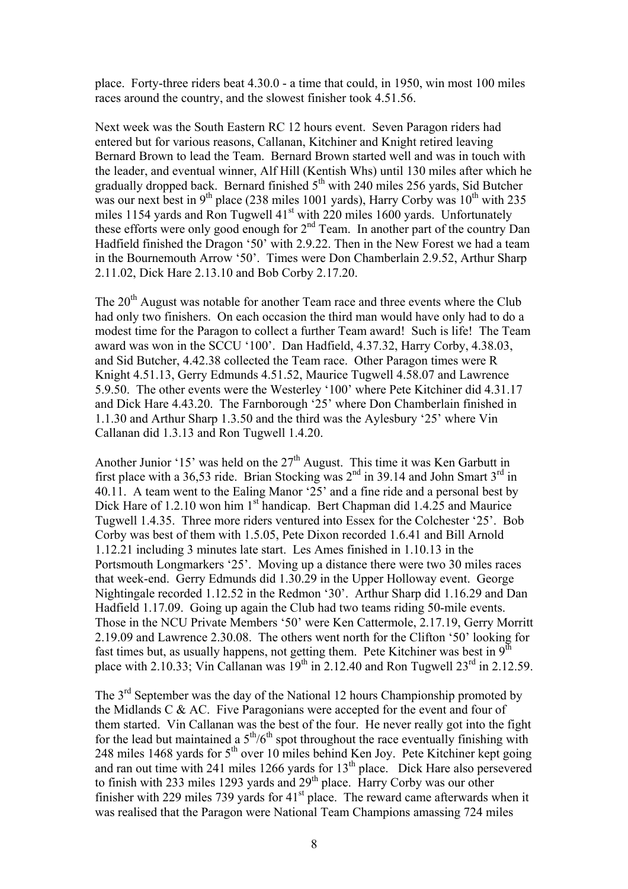place. Forty-three riders beat 4.30.0 - a time that could, in 1950, win most 100 miles races around the country, and the slowest finisher took 4.51.56.

Next week was the South Eastern RC 12 hours event. Seven Paragon riders had entered but for various reasons, Callanan, Kitchiner and Knight retired leaving Bernard Brown to lead the Team. Bernard Brown started well and was in touch with the leader, and eventual winner, Alf Hill (Kentish Whs) until 130 miles after which he gradually dropped back. Bernard finished  $5<sup>th</sup>$  with 240 miles 256 yards, Sid Butcher was our next best in  $9<sup>th</sup>$  place (238 miles 1001 yards), Harry Corby was  $10<sup>th</sup>$  with 235 miles 1154 yards and Ron Tugwell  $41<sup>st</sup>$  with 220 miles 1600 yards. Unfortunately these efforts were only good enough for  $2<sup>nd</sup>$  Team. In another part of the country Dan Hadfield finished the Dragon '50' with 2.9.22. Then in the New Forest we had a team in the Bournemouth Arrow '50'. Times were Don Chamberlain 2.9.52, Arthur Sharp 2.11.02, Dick Hare 2.13.10 and Bob Corby 2.17.20.

The 20<sup>th</sup> August was notable for another Team race and three events where the Club had only two finishers. On each occasion the third man would have only had to do a modest time for the Paragon to collect a further Team award! Such is life! The Team award was won in the SCCU '100'. Dan Hadfield, 4.37.32, Harry Corby, 4.38.03, and Sid Butcher, 4.42.38 collected the Team race. Other Paragon times were R Knight 4.51.13, Gerry Edmunds 4.51.52, Maurice Tugwell 4.58.07 and Lawrence 5.9.50. The other events were the Westerley '100' where Pete Kitchiner did 4.31.17 and Dick Hare 4.43.20. The Farnborough '25' where Don Chamberlain finished in 1.1.30 and Arthur Sharp 1.3.50 and the third was the Aylesbury '25' where Vin Callanan did 1.3.13 and Ron Tugwell 1.4.20.

Another Junior '15' was held on the  $27<sup>th</sup>$  August. This time it was Ken Garbutt in first place with a 36,53 ride. Brian Stocking was  $2<sup>nd</sup>$  in 39.14 and John Smart  $3<sup>rd</sup>$  in 40.11. A team went to the Ealing Manor '25' and a fine ride and a personal best by Dick Hare of 1.2.10 won him 1<sup>st</sup> handicap. Bert Chapman did 1.4.25 and Maurice Tugwell 1.4.35. Three more riders ventured into Essex for the Colchester '25'. Bob Corby was best of them with 1.5.05, Pete Dixon recorded 1.6.41 and Bill Arnold 1.12.21 including 3 minutes late start. Les Ames finished in 1.10.13 in the Portsmouth Longmarkers '25'. Moving up a distance there were two 30 miles races that week-end. Gerry Edmunds did 1.30.29 in the Upper Holloway event. George Nightingale recorded 1.12.52 in the Redmon '30'. Arthur Sharp did 1.16.29 and Dan Hadfield 1.17.09. Going up again the Club had two teams riding 50-mile events. Those in the NCU Private Members '50' were Ken Cattermole, 2.17.19, Gerry Morritt 2.19.09 and Lawrence 2.30.08. The others went north for the Clifton '50' looking for fast times but, as usually happens, not getting them. Pete Kitchiner was best in  $9<sup>th</sup>$ place with 2.10.33; Vin Callanan was  $19^{th}$  in 2.12.40 and Ron Tugwell 23<sup>rd</sup> in 2.12.59.

The 3<sup>rd</sup> September was the day of the National 12 hours Championship promoted by the Midlands C & AC. Five Paragonians were accepted for the event and four of them started. Vin Callanan was the best of the four. He never really got into the fight for the lead but maintained a  $5<sup>th</sup>/6<sup>th</sup>$  spot throughout the race eventually finishing with 248 miles 1468 yards for 5<sup>th</sup> over 10 miles behind Ken Joy. Pete Kitchiner kept going and ran out time with 241 miles 1266 yards for 13<sup>th</sup> place. Dick Hare also persevered to finish with 233 miles 1293 yards and 29<sup>th</sup> place. Harry Corby was our other finisher with 229 miles 739 yards for  $41<sup>st</sup>$  place. The reward came afterwards when it was realised that the Paragon were National Team Champions amassing 724 miles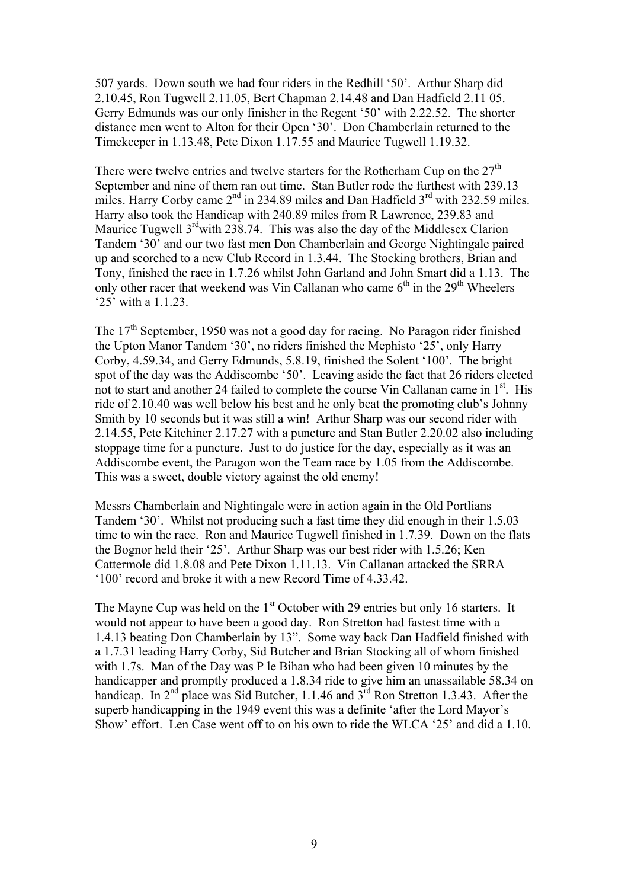507 yards. Down south we had four riders in the Redhill '50'. Arthur Sharp did 2.10.45, Ron Tugwell 2.11.05, Bert Chapman 2.14.48 and Dan Hadfield 2.11 05. Gerry Edmunds was our only finisher in the Regent '50' with 2.22.52. The shorter distance men went to Alton for their Open '30'. Don Chamberlain returned to the Timekeeper in 1.13.48, Pete Dixon 1.17.55 and Maurice Tugwell 1.19.32.

There were twelve entries and twelve starters for the Rotherham Cup on the  $27<sup>th</sup>$ September and nine of them ran out time. Stan Butler rode the furthest with 239.13 miles. Harry Corby came 2<sup>nd</sup> in 234.89 miles and Dan Hadfield 3<sup>rd</sup> with 232.59 miles. Harry also took the Handicap with 240.89 miles from R Lawrence, 239.83 and Maurice Tugwell 3<sup>rd</sup>with 238.74. This was also the day of the Middlesex Clarion Tandem '30' and our two fast men Don Chamberlain and George Nightingale paired up and scorched to a new Club Record in 1.3.44. The Stocking brothers, Brian and Tony, finished the race in 1.7.26 whilst John Garland and John Smart did a 1.13. The only other racer that weekend was Vin Callanan who came  $6<sup>th</sup>$  in the 29<sup>th</sup> Wheelers '25' with a 1.1.23.

The  $17<sup>th</sup>$  September, 1950 was not a good day for racing. No Paragon rider finished the Upton Manor Tandem '30', no riders finished the Mephisto '25', only Harry Corby, 4.59.34, and Gerry Edmunds, 5.8.19, finished the Solent '100'. The bright spot of the day was the Addiscombe '50'. Leaving aside the fact that 26 riders elected not to start and another 24 failed to complete the course Vin Callanan came in 1<sup>st</sup>. His ride of 2.10.40 was well below his best and he only beat the promoting club's Johnny Smith by 10 seconds but it was still a win! Arthur Sharp was our second rider with 2.14.55, Pete Kitchiner 2.17.27 with a puncture and Stan Butler 2.20.02 also including stoppage time for a puncture. Just to do justice for the day, especially as it was an Addiscombe event, the Paragon won the Team race by 1.05 from the Addiscombe. This was a sweet, double victory against the old enemy!

Messrs Chamberlain and Nightingale were in action again in the Old Portlians Tandem '30'. Whilst not producing such a fast time they did enough in their 1.5.03 time to win the race. Ron and Maurice Tugwell finished in 1.7.39. Down on the flats the Bognor held their '25'. Arthur Sharp was our best rider with 1.5.26; Ken Cattermole did 1.8.08 and Pete Dixon 1.11.13. Vin Callanan attacked the SRRA '100' record and broke it with a new Record Time of 4.33.42.

The Mayne Cup was held on the 1<sup>st</sup> October with 29 entries but only 16 starters. It would not appear to have been a good day. Ron Stretton had fastest time with a 1.4.13 beating Don Chamberlain by 13". Some way back Dan Hadfield finished with a 1.7.31 leading Harry Corby, Sid Butcher and Brian Stocking all of whom finished with 1.7s. Man of the Day was P le Bihan who had been given 10 minutes by the handicapper and promptly produced a 1.8.34 ride to give him an unassailable 58.34 on handicap. In 2<sup>nd</sup> place was Sid Butcher, 1.1.46 and 3<sup>rd</sup> Ron Stretton 1.3.43. After the superb handicapping in the 1949 event this was a definite 'after the Lord Mayor's Show' effort. Len Case went off to on his own to ride the WLCA '25' and did a 1.10.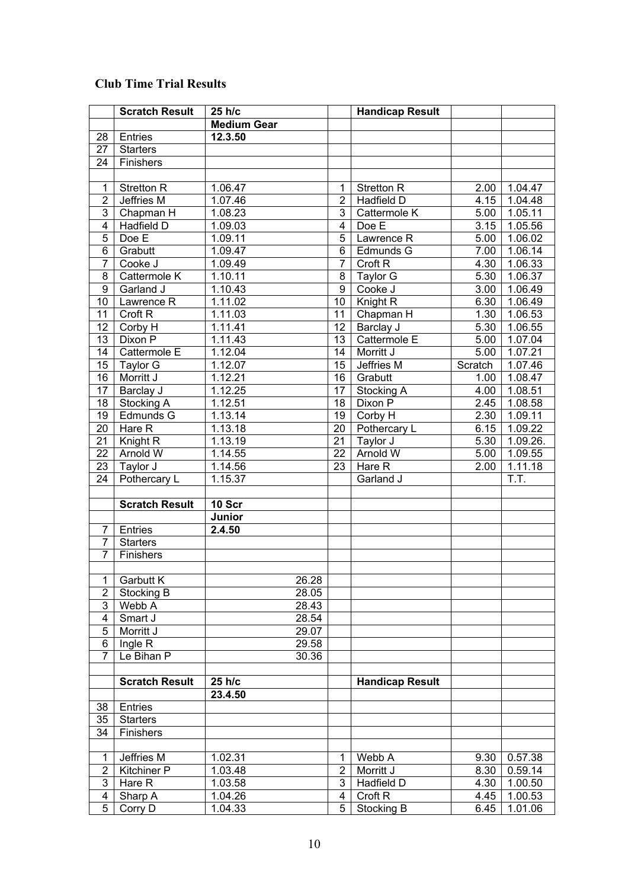## **Club Time Trial Results**

|                | <b>Scratch Result</b> | 25 h/c             |                | <b>Handicap Result</b> |         |          |
|----------------|-----------------------|--------------------|----------------|------------------------|---------|----------|
|                |                       | <b>Medium Gear</b> |                |                        |         |          |
| 28             | Entries               | 12.3.50            |                |                        |         |          |
| 27             | <b>Starters</b>       |                    |                |                        |         |          |
| 24             | Finishers             |                    |                |                        |         |          |
|                |                       |                    |                |                        |         |          |
| $\mathbf{1}$   | <b>Stretton R</b>     | 1.06.47            | 1              | <b>Stretton R</b>      | 2.00    | 1.04.47  |
| $\overline{2}$ | Jeffries M            | 1.07.46            | $\overline{2}$ | Hadfield D             | 4.15    | 1.04.48  |
| 3              | Chapman H             | 1.08.23            | 3              | Cattermole K           | 5.00    | 1.05.11  |
| 4              | Hadfield D            | 1.09.03            | $\overline{4}$ | Doe E                  | 3.15    | 1.05.56  |
| 5              | Doe E                 | 1.09.11            | 5              | Lawrence R             | 5.00    | 1.06.02  |
| 6              | Grabutt               | 1.09.47            | 6              | Edmunds G              | 7.00    | 1.06.14  |
| $\overline{7}$ | Cooke J               | 1.09.49            | $\overline{7}$ | Croft <sub>R</sub>     | 4.30    | 1.06.33  |
| 8              | Cattermole K          | 1.10.11            | 8              | Taylor G               | 5.30    | 1.06.37  |
| 9              | Garland J             | 1.10.43            | 9              | Cooke J                | 3.00    | 1.06.49  |
| 10             | Lawrence R            | 1.11.02            | 10             | Knight R               | 6.30    | 1.06.49  |
| 11             | Croft <sub>R</sub>    | 1.11.03            | 11             | Chapman H              | 1.30    | 1.06.53  |
| 12             | Corby H               | 1.11.41            | 12             | Barclay J              | 5.30    | 1.06.55  |
| 13             | Dixon P               | 1.11.43            | 13             | Cattermole E           | 5.00    | 1.07.04  |
| 14             | Cattermole E          | 1.12.04            | 14             | Morritt J              | 5.00    | 1.07.21  |
| 15             | Taylor G              | 1.12.07            | 15             | Jeffries M             | Scratch | 1.07.46  |
| 16             | Morritt J             | 1.12.21            | 16             | Grabutt                | 1.00    | 1.08.47  |
| 17             | Barclay J             | 1.12.25            | 17             | Stocking A             | 4.00    | 1.08.51  |
| 18             | Stocking A            | 1.12.51            | 18             | Dixon P                | 2.45    | 1.08.58  |
| 19             | Edmunds G             | 1.13.14            | 19             | Corby H                | 2.30    | 1.09.11  |
| 20             | Hare R                | 1.13.18            | 20             | Pothercary L           | 6.15    | 1.09.22  |
| 21             | Knight R              | 1.13.19            | 21             | Taylor J               | 5.30    | 1.09.26. |
| 22             | Arnold W              | 1.14.55            | 22             | Arnold W               | 5.00    | 1.09.55  |
| 23             | Taylor J              | 1.14.56            | 23             | Hare R                 | 2.00    | 1.11.18  |
| 24             | Pothercary L          | 1.15.37            |                | Garland J              |         | T.T.     |
|                |                       |                    |                |                        |         |          |
|                | <b>Scratch Result</b> | 10 Scr             |                |                        |         |          |
|                |                       | Junior             |                |                        |         |          |
| 7              | Entries               | 2.4.50             |                |                        |         |          |
| 7              | <b>Starters</b>       |                    |                |                        |         |          |
| 7              | Finishers             |                    |                |                        |         |          |
|                |                       |                    |                |                        |         |          |
| 1              | <b>Garbutt K</b>      | 26.28              |                |                        |         |          |
| 2              | Stocking B            | 28.05              |                |                        |         |          |
| 3              | Webb A                | 28.43              |                |                        |         |          |
| 4              | Smart J               | 28.54              |                |                        |         |          |
| 5              | Morritt J             | 29.07              |                |                        |         |          |
| 6              | Ingle R               | 29.58              |                |                        |         |          |
| $\overline{7}$ | Le Bihan P            | 30.36              |                |                        |         |          |
|                |                       |                    |                |                        |         |          |
|                | <b>Scratch Result</b> | 25 h/c             |                | <b>Handicap Result</b> |         |          |
|                |                       | 23.4.50            |                |                        |         |          |
| 38             | Entries               |                    |                |                        |         |          |
| 35             | <b>Starters</b>       |                    |                |                        |         |          |
| 34             | Finishers             |                    |                |                        |         |          |
|                |                       |                    |                |                        |         |          |
| $\mathbf{1}$   | Jeffries M            | 1.02.31            | 1              | Webb A                 | 9.30    | 0.57.38  |
| $\overline{2}$ | <b>Kitchiner P</b>    | 1.03.48            | $\overline{2}$ | Morritt J              | 8.30    | 0.59.14  |
| 3              | Hare R                | 1.03.58            | 3              | Hadfield D             | 4.30    | 1.00.50  |
| 4              | Sharp A               | 1.04.26            | 4              | Croft <sub>R</sub>     | 4.45    | 1.00.53  |
| 5              | Corry D               | 1.04.33            | 5              | Stocking B             | 6.45    | 1.01.06  |
|                |                       |                    |                |                        |         |          |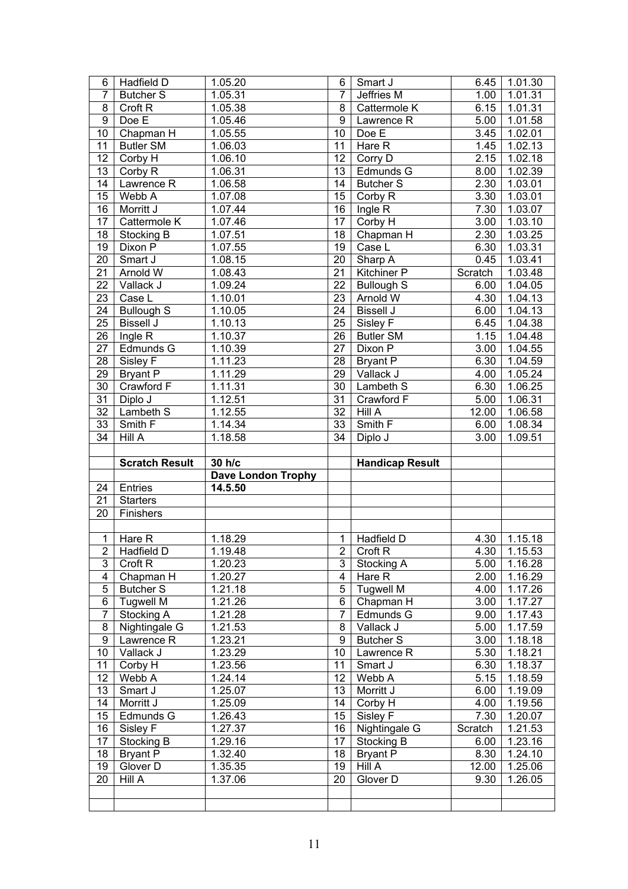| 6                       | Hadfield D            | 1.05.20                   | 6              | Smart J                | 6.45              | 1.01.30          |
|-------------------------|-----------------------|---------------------------|----------------|------------------------|-------------------|------------------|
| $\overline{7}$          | <b>Butcher S</b>      | 1.05.31                   | $\overline{7}$ | Jeffries M             | 1.00              | 1.01.31          |
| $\overline{8}$          | Croft <sub>R</sub>    | 1.05.38                   | $\overline{8}$ | Cattermole K           | 6.15              | 1.01.31          |
| $\overline{9}$          | Doe E                 | 1.05.46                   | $\overline{9}$ | Lawrence R             | 5.00              | 1.01.58          |
| $\overline{10}$         | Chapman H             | 1.05.55                   | 10             | Doe E                  | 3.45              | 1.02.01          |
| 11                      | <b>Butler SM</b>      | 1.06.03                   | 11             | Hare $\overline{R}$    | $\overline{1.45}$ | 1.02.13          |
| 12                      | Corby H               | 1.06.10                   | 12             | Corry $\overline{D}$   | 2.15              | 1.02.18          |
| 13                      | Corby R               | 1.06.31                   | 13             | Edmunds G              | 8.00              | 1.02.39          |
| 14                      | Lawrence R            | 1.06.58                   | 14             | <b>Butcher S</b>       | 2.30              | 1.03.01          |
| 15                      | Webb A                | 1.07.08                   | 15             | Corby R                | 3.30              | 1.03.01          |
| 16                      | Morritt J             | 1.07.44                   | 16             | Ingle $\overline{R}$   | 7.30              | 1.03.07          |
| 17                      | Cattermole K          | 1.07.46                   | 17             | Corby H                | 3.00              | 1.03.10          |
| 18                      | Stocking B            | 1.07.51                   | 18             | Chapman H              | 2.30              | 1.03.25          |
| 19                      | Dixon P               | 1.07.55                   | 19             | Case L                 | 6.30              | 1.03.31          |
| 20                      | Smart J               | 1.08.15                   | 20             | Sharp A                | 0.45              | 1.03.41          |
| 21                      | Arnold W              | 1.08.43                   | 21             | Kitchiner P            | Scratch           | 1.03.48          |
| 22                      | Vallack J             | 1.09.24                   | 22             | <b>Bullough S</b>      | 6.00              | 1.04.05          |
| 23                      | Case L                | 1.10.01                   | 23             | Arnold W               | 4.30              | 1.04.13          |
| 24                      | <b>Bullough S</b>     | 1.10.05                   | 24             | <b>Bissell J</b>       | 6.00              | 1.04.13          |
| 25                      | <b>Bissell J</b>      | 1.10.13                   | 25             | Sisley F               | 6.45              | 1.04.38          |
| 26                      | Ingle R               | 1.10.37                   | 26             | <b>Butler SM</b>       | 1.15              | 1.04.48          |
| 27                      | Edmunds G             | 1.10.39                   | 27             | Dixon P                | 3.00              | 1.04.55          |
| 28                      | Sisley F              | 1.11.23                   | 28             | <b>Bryant P</b>        | 6.30              | 1.04.59          |
| 29                      | <b>Bryant P</b>       | 1.11.29                   | 29             | Vallack J              | 4.00              | 1.05.24          |
| 30                      | Crawford F            | 1.11.31                   | 30             | Lambeth S              | 6.30              | 1.06.25          |
| $\overline{31}$         | Diplo J               | 1.12.51                   | 31             | Crawford F             | 5.00              | 1.06.31          |
| 32                      | Lambeth S             | 1.12.55                   | 32             | Hill A                 | 12.00             | 1.06.58          |
| 33                      | Smith F               | 1.14.34                   | 33             | Smith F                | 6.00              | 1.08.34          |
| 34                      | Hill A                | 1.18.58                   | 34             | Diplo J                | 3.00              | 1.09.51          |
|                         |                       |                           |                |                        |                   |                  |
|                         |                       |                           |                |                        |                   |                  |
|                         | <b>Scratch Result</b> | 30 h/c                    |                | <b>Handicap Result</b> |                   |                  |
|                         |                       | <b>Dave London Trophy</b> |                |                        |                   |                  |
| 24                      | Entries               | 14.5.50                   |                |                        |                   |                  |
| 21                      | <b>Starters</b>       |                           |                |                        |                   |                  |
| 20                      | Finishers             |                           |                |                        |                   |                  |
|                         |                       |                           |                |                        |                   |                  |
| $\overline{1}$          | Hare R                | 1.18.29                   | $\mathbf{1}$   | Hadfield D             | 4.30              | 1.15.18          |
|                         | 2 Hadfield D          | 1.19.48                   |                | 2 Croft R              |                   | $4.30$   1.15.53 |
| $\overline{3}$          | Croft <sub>R</sub>    | 1.20.23                   | $\overline{3}$ | Stocking A             | 5.00              | 1.16.28          |
| $\overline{4}$          | Chapman H             | 1.20.27                   | 4              | Hare R                 | 2.00              | 1.16.29          |
| $\sqrt{5}$              | <b>Butcher S</b>      | 1.21.18                   | 5              | <b>Tugwell M</b>       | 4.00              | 1.17.26          |
| $6\overline{6}$         | <b>Tugwell M</b>      | 1.21.26                   | $\overline{6}$ | Chapman H              | 3.00              | 1.17.27          |
| $\overline{7}$          | Stocking A            | 1.21.28                   | $\overline{7}$ | Edmunds G              | 9.00              | 1.17.43          |
| $\overline{\mathbf{8}}$ | Nightingale G         | 1.21.53                   | 8              | Vallack J              | 5.00              | 1.17.59          |
| $\overline{9}$          | Lawrence R            | 1.23.21                   | $\overline{9}$ | <b>Butcher S</b>       | 3.00              | 1.18.18          |
| 10                      | Vallack J             | 1.23.29                   | 10             | Lawrence R             | 5.30              | 1.18.21          |
| 11                      | Corby H               | 1.23.56                   | 11             | Smart J                | 6.30              | 1.18.37          |
| 12                      | Webb A                | 1.24.14                   | 12             | Webb A                 | 5.15              | 1.18.59          |
| 13                      | Smart J               | 1.25.07                   | 13             | Morritt J              | 6.00              | 1.19.09          |
| 14                      | Morritt J             | 1.25.09                   | 14             | Corby H                | 4.00              | 1.19.56          |
| 15                      | Edmunds G             | 1.26.43                   | 15             | Sisley F               | 7.30              | 1.20.07          |
| 16                      | Sisley F              | 1.27.37                   | 16             | Nightingale G          | Scratch           | 1.21.53          |
| 17                      | Stocking B            | 1.29.16                   | 17             | Stocking B             | 6.00              | 1.23.16          |
| 18                      | <b>Bryant P</b>       | 1.32.40                   | 18             | <b>Bryant P</b>        | 8.30              | 1.24.10          |
| 19                      | Glover D              | 1.35.35                   | 19             | Hill A                 | 12.00             | 1.25.06          |
| 20                      | Hill A                | 1.37.06                   | 20             | Glover D               | 9.30              | 1.26.05          |
|                         |                       |                           |                |                        |                   |                  |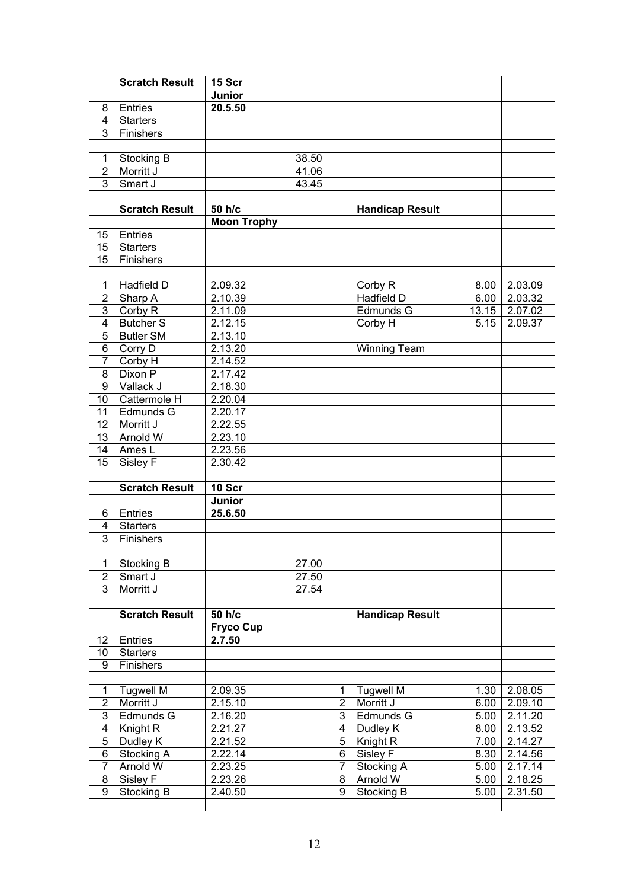|                     | <b>Scratch Result</b>  | 15 Scr               |                |                               |              |                    |
|---------------------|------------------------|----------------------|----------------|-------------------------------|--------------|--------------------|
|                     |                        | Junior               |                |                               |              |                    |
| 8                   | Entries                | 20.5.50              |                |                               |              |                    |
| 4                   | <b>Starters</b>        |                      |                |                               |              |                    |
| 3                   | Finishers              |                      |                |                               |              |                    |
|                     |                        |                      |                |                               |              |                    |
| 1                   | Stocking B             | 38.50                |                |                               |              |                    |
| $\overline{2}$      | Morritt J              | 41.06                |                |                               |              |                    |
| $\overline{3}$      | Smart J                | 43.45                |                |                               |              |                    |
|                     |                        |                      |                |                               |              |                    |
|                     | <b>Scratch Result</b>  | 50 h/c               |                | <b>Handicap Result</b>        |              |                    |
|                     |                        | <b>Moon Trophy</b>   |                |                               |              |                    |
| 15                  | Entries                |                      |                |                               |              |                    |
| 15                  | <b>Starters</b>        |                      |                |                               |              |                    |
| 15                  | Finishers              |                      |                |                               |              |                    |
|                     |                        |                      |                |                               |              |                    |
| 1                   | Hadfield D             | 2.09.32              |                | Corby R                       | 8.00         | 2.03.09            |
| $\overline{2}$      | Sharp A                | 2.10.39              |                | Hadfield D                    | 6.00         | 2.03.32            |
| $\overline{3}$      | Corby R                | 2.11.09              |                | Edmunds G                     | 13.15        | 2.07.02            |
| 4                   | <b>Butcher S</b>       | 2.12.15              |                | Corby H                       | 5.15         | 2.09.37            |
| 5                   | <b>Butler SM</b>       | 2.13.10              |                |                               |              |                    |
| 6                   | Corry D                | 2.13.20              |                | <b>Winning Team</b>           |              |                    |
| $\overline{7}$      | Corby H                | 2.14.52              |                |                               |              |                    |
| 8                   | Dixon P                | 2.17.42              |                |                               |              |                    |
| 9                   | Vallack J              | $2.18.\overline{30}$ |                |                               |              |                    |
| 10                  | Cattermole H           | 2.20.04              |                |                               |              |                    |
| 11                  | Edmunds G              | 2.20.17              |                |                               |              |                    |
| 12                  | Morritt J              | 2.22.55              |                |                               |              |                    |
| 13                  | Arnold W               | 2.23.10              |                |                               |              |                    |
|                     |                        |                      |                |                               |              |                    |
| 14                  | Ames $L$               | 2.23.56              |                |                               |              |                    |
| $\overline{15}$     | Sisley F               | 2.30.42              |                |                               |              |                    |
|                     |                        |                      |                |                               |              |                    |
|                     | <b>Scratch Result</b>  | 10 Scr               |                |                               |              |                    |
|                     |                        | Junior               |                |                               |              |                    |
| 6                   | Entries                | 25.6.50              |                |                               |              |                    |
| 4                   | <b>Starters</b>        |                      |                |                               |              |                    |
| $\overline{3}$      | Finishers              |                      |                |                               |              |                    |
|                     |                        |                      |                |                               |              |                    |
| 1                   | Stocking B             | 27.00                |                |                               |              |                    |
| $\overline{2}$      | Smart J                | 27.50                |                |                               |              |                    |
| $\overline{3}$      | Morritt J              | 27.54                |                |                               |              |                    |
|                     |                        |                      |                |                               |              |                    |
|                     | <b>Scratch Result</b>  | 50 h/c               |                | <b>Handicap Result</b>        |              |                    |
|                     |                        | <b>Fryco Cup</b>     |                |                               |              |                    |
| 12                  | Entries                | 2.7.50               |                |                               |              |                    |
| 10                  | <b>Starters</b>        |                      |                |                               |              |                    |
| 9                   | Finishers              |                      |                |                               |              |                    |
|                     |                        |                      |                |                               |              |                    |
| 1                   | <b>Tugwell M</b>       | 2.09.35              |                | <b>Tugwell M</b>              | 1.30         | 2.08.05            |
| $\overline{2}$      | Morritt J              | 2.15.10              |                | 2 Morritt J                   | 6.00         | 2.09.10            |
| $\overline{3}$      | Edmunds G              | 2.16.20              | ن              | Edmunds G                     | 5.00         | 2.11.20            |
| 4                   | Knight R               | 2.21.27              | 4              | Dudley K                      | 8.00         | 2.13.52            |
| $\mathbf 5$         | Dudley K               | 2.21.52              | $\overline{5}$ | Knight R                      | 7.00         | 2.14.27            |
| 6                   | Stocking A             | 2.22.14              | 6              | Sisley F                      | 8.30         | 2.14.56            |
| $\overline{7}$      | Arnold W               | 2.23.25              | $\overline{7}$ | Stocking A                    | 5.00         | 2.17.14            |
| 8<br>$\overline{9}$ | Sisley F<br>Stocking B | 2.23.26<br>2.40.50   | 8<br>9         | Arnold W<br><b>Stocking B</b> | 5.00<br>5.00 | 2.18.25<br>2.31.50 |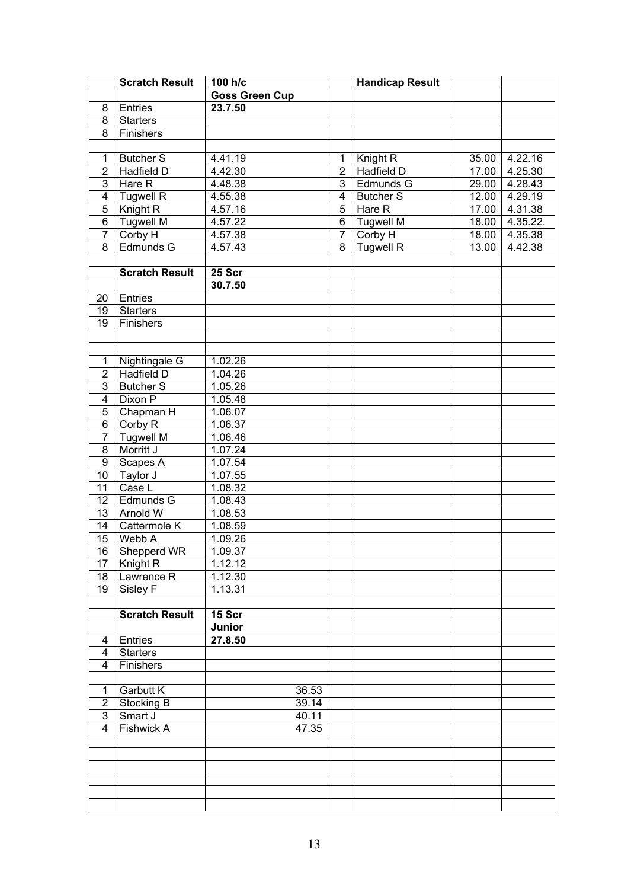|                         | <b>Scratch Result</b> | 100 h/c               |                | <b>Handicap Result</b> |       |          |
|-------------------------|-----------------------|-----------------------|----------------|------------------------|-------|----------|
|                         |                       | <b>Goss Green Cup</b> |                |                        |       |          |
| 8                       | Entries               | 23.7.50               |                |                        |       |          |
| 8                       | <b>Starters</b>       |                       |                |                        |       |          |
| $\overline{8}$          | Finishers             |                       |                |                        |       |          |
|                         |                       |                       |                |                        |       |          |
| 1                       | <b>Butcher S</b>      | 4.41.19               | 1              | Knight R               | 35.00 | 4.22.16  |
| $\overline{2}$          | Hadfield D            | 4.42.30               | $\overline{2}$ | Hadfield D             | 17.00 | 4.25.30  |
| $\overline{3}$          | Hare R                | 4.48.38               | $\overline{3}$ | Edmunds G              | 29.00 | 4.28.43  |
| $\overline{\mathbf{4}}$ | <b>Tugwell R</b>      | 4.55.38               | 4              | <b>Butcher S</b>       | 12.00 | 4.29.19  |
| $\overline{5}$          | Knight R              | 4.57.16               | $\overline{5}$ | Hare R                 | 17.00 | 4.31.38  |
| $\overline{6}$          | <b>Tugwell M</b>      | 4.57.22               | 6              | <b>Tugwell M</b>       | 18.00 | 4.35.22. |
| $\overline{7}$          | Corby H               | 4.57.38               | $\overline{7}$ | Corby H                | 18.00 | 4.35.38  |
| $\overline{8}$          | Edmunds G             | 4.57.43               | $\overline{8}$ | <b>Tugwell R</b>       | 13.00 | 4.42.38  |
|                         |                       |                       |                |                        |       |          |
|                         | <b>Scratch Result</b> | 25 Scr                |                |                        |       |          |
|                         |                       | 30.7.50               |                |                        |       |          |
| 20                      | Entries               |                       |                |                        |       |          |
| 19                      | <b>Starters</b>       |                       |                |                        |       |          |
| $\overline{19}$         | Finishers             |                       |                |                        |       |          |
|                         |                       |                       |                |                        |       |          |
|                         |                       |                       |                |                        |       |          |
| 1                       | Nightingale G         | 1.02.26               |                |                        |       |          |
| $\overline{2}$          | <b>Hadfield D</b>     | 1.04.26               |                |                        |       |          |
| $\overline{3}$          | <b>Butcher S</b>      | 1.05.26               |                |                        |       |          |
| $\overline{4}$          | Dixon P               | 1.05.48               |                |                        |       |          |
| 5                       | Chapman H             | 1.06.07               |                |                        |       |          |
| $\overline{6}$          | Corby R               | 1.06.37               |                |                        |       |          |
| $\overline{7}$          | Tugwell M             | 1.06.46               |                |                        |       |          |
| 8                       | Morritt J             | 1.07.24               |                |                        |       |          |
| $\overline{9}$          | Scapes A              | 1.07.54               |                |                        |       |          |
| 10                      | Taylor J              | 1.07.55               |                |                        |       |          |
| 11                      | Case L                | 1.08.32               |                |                        |       |          |
| 12                      | Edmunds G             | 1.08.43               |                |                        |       |          |
| 13                      | Arnold W              | 1.08.53               |                |                        |       |          |
| 14                      | Cattermole K          | 1.08.59               |                |                        |       |          |
| $\overline{15}$         | Webb A                | 1.09.26               |                |                        |       |          |
| 16                      | Shepperd WR           | 1.09.37               |                |                        |       |          |
| 17                      | Knight R              | 1.12.12               |                |                        |       |          |
| 18                      | Lawrence R            | 1.12.30               |                |                        |       |          |
| 19                      | Sisley F              | 1.13.31               |                |                        |       |          |
|                         |                       |                       |                |                        |       |          |
|                         | <b>Scratch Result</b> | 15 Scr                |                |                        |       |          |
|                         |                       | Junior                |                |                        |       |          |
| 4                       | Entries               | 27.8.50               |                |                        |       |          |
| 4                       | <b>Starters</b>       |                       |                |                        |       |          |
| $\overline{4}$          | Finishers             |                       |                |                        |       |          |
|                         |                       |                       |                |                        |       |          |
| 1                       | Garbutt K             | 36.53                 |                |                        |       |          |
| $\boldsymbol{2}$        | Stocking B            | 39.14                 |                |                        |       |          |
| $\overline{3}$          | Smart J               | 40.11                 |                |                        |       |          |
| $\overline{4}$          | <b>Fishwick A</b>     | 47.35                 |                |                        |       |          |
|                         |                       |                       |                |                        |       |          |
|                         |                       |                       |                |                        |       |          |
|                         |                       |                       |                |                        |       |          |
|                         |                       |                       |                |                        |       |          |
|                         |                       |                       |                |                        |       |          |
|                         |                       |                       |                |                        |       |          |